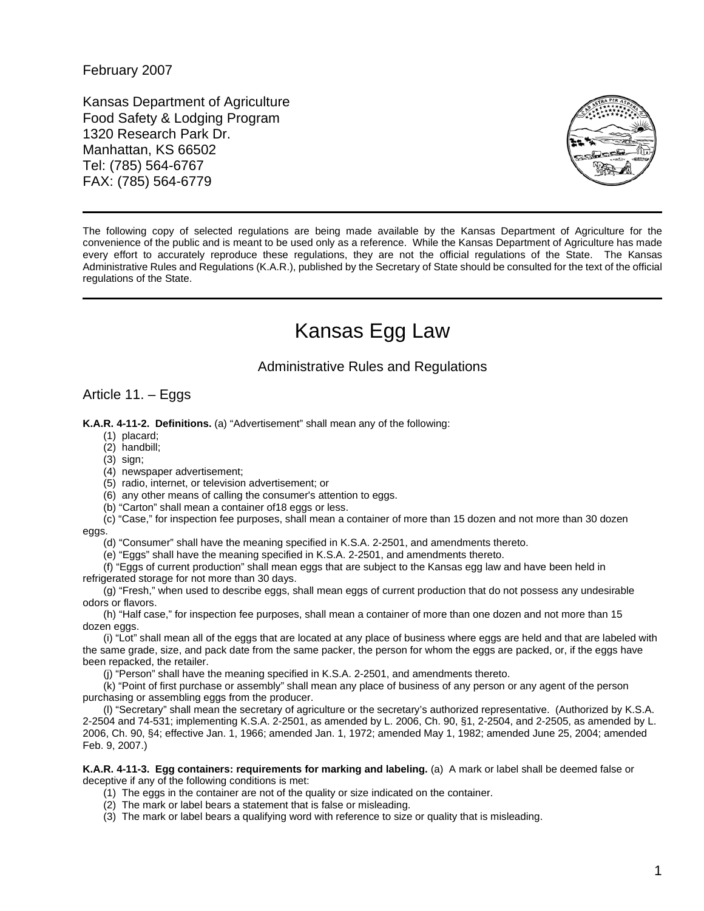February 2007

Kansas Department of Agriculture Food Safety & Lodging Program 1320 Research Park Dr. Manhattan, KS 66502 Tel: (785) 564-6767 FAX: (785) 564-6779



The following copy of selected regulations are being made available by the Kansas Department of Agriculture for the convenience of the public and is meant to be used only as a reference. While the Kansas Department of Agriculture has made every effort to accurately reproduce these regulations, they are not the official regulations of the State. The Kansas Administrative Rules and Regulations (K.A.R.), published by the Secretary of State should be consulted for the text of the official regulations of the State.

## Kansas Egg Law

## Administrative Rules and Regulations

## Article 11. – Eggs

**K.A.R. 4-11-2. Definitions.** (a) "Advertisement" shall mean any of the following:

- (1) placard;
- (2) handbill;
- (3) sign;
- (4) newspaper advertisement;
- (5) radio, internet, or television advertisement; or
- (6) any other means of calling the consumer's attention to eggs.
- (b) "Carton" shall mean a container of18 eggs or less.

(c) "Case," for inspection fee purposes, shall mean a container of more than 15 dozen and not more than 30 dozen eggs.

(d) "Consumer" shall have the meaning specified in K.S.A. 2-2501, and amendments thereto.

(e) "Eggs" shall have the meaning specified in K.S.A. 2-2501, and amendments thereto.

(f) "Eggs of current production" shall mean eggs that are subject to the Kansas egg law and have been held in refrigerated storage for not more than 30 days.

(g) "Fresh," when used to describe eggs, shall mean eggs of current production that do not possess any undesirable odors or flavors.

(h) "Half case," for inspection fee purposes, shall mean a container of more than one dozen and not more than 15 dozen eggs.

(i) "Lot" shall mean all of the eggs that are located at any place of business where eggs are held and that are labeled with the same grade, size, and pack date from the same packer, the person for whom the eggs are packed, or, if the eggs have been repacked, the retailer.

(j) "Person" shall have the meaning specified in K.S.A. 2-2501, and amendments thereto.

(k) "Point of first purchase or assembly" shall mean any place of business of any person or any agent of the person purchasing or assembling eggs from the producer.

(l) "Secretary" shall mean the secretary of agriculture or the secretary's authorized representative. (Authorized by K.S.A. 2-2504 and 74-531; implementing K.S.A. 2-2501, as amended by L. 2006, Ch. 90, §1, 2-2504, and 2-2505, as amended by L. 2006, Ch. 90, §4; effective Jan. 1, 1966; amended Jan. 1, 1972; amended May 1, 1982; amended June 25, 2004; amended Feb. 9, 2007.)

**K.A.R. 4-11-3. Egg containers: requirements for marking and labeling.** (a) A mark or label shall be deemed false or deceptive if any of the following conditions is met:

- (1) The eggs in the container are not of the quality or size indicated on the container.
- (2) The mark or label bears a statement that is false or misleading.
- (3) The mark or label bears a qualifying word with reference to size or quality that is misleading.